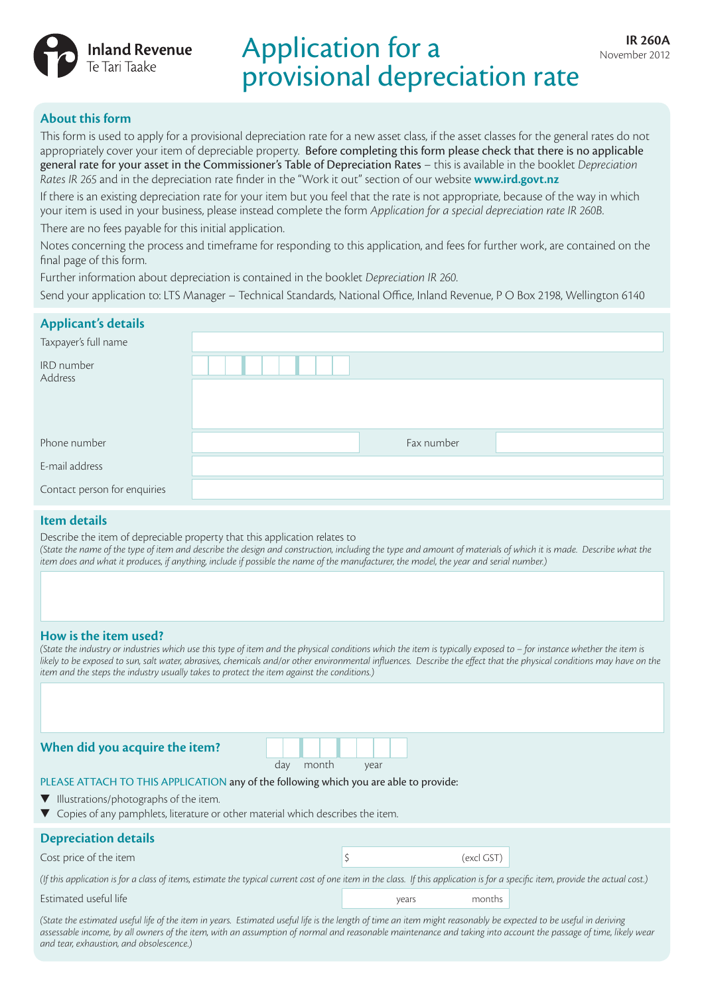

# **IR 260A** IR 260A provisional depreciation rate

# **About this form**

This form is used to apply for a provisional depreciation rate for a new asset class, if the asset classes for the general rates do not appropriately cover your item of depreciable property. Before completing this form please check that there is no applicable general rate for your asset in the Commissioner's Table of Depreciation Rates – this is available in the booklet *Depreciation Rates IR 265* and in the depreciation rate finder in the "Work it out" section of our website **www.ird.govt.nz**

If there is an existing depreciation rate for your item but you feel that the rate is not appropriate, because of the way in which your item is used in your business, please instead complete the form *Application for a special depreciation rate IR 260B*.

There are no fees payable for this initial application.

Notes concerning the process and timeframe for responding to this application, and fees for further work, are contained on the final page of this form.

Further information about depreciation is contained in the booklet *Depreciation IR 260*.

Send your application to: LTS Manager – Technical Standards, National Office, Inland Revenue, P O Box 2198, Wellington 6140

| <b>Applicant's details</b>   |            |  |
|------------------------------|------------|--|
| Taxpayer's full name         |            |  |
| IRD number<br>Address        |            |  |
|                              |            |  |
|                              |            |  |
| Phone number                 | Fax number |  |
| E-mail address               |            |  |
| Contact person for enquiries |            |  |

# **Item details**

Describe the item of depreciable property that this application relates to (State the name of the type of item and describe the design and construction, including the type and amount of materials of which it is made. Describe what the *item does and what it produces, if anything, include if possible the name of the manufacturer, the model, the year and serial number.)*

# **How is the item used?**

(State the industry or industries which use this type of item and the physical conditions which the item is typically exposed to – for instance whether the item is likely to be exposed to sun, salt water, abrasives, chemicals and/or other environmental influences. Describe the effect that the physical conditions may have on the *item and the steps the industry usually takes to protect the item against the conditions.)*

**When did you acquire the item?**

| day | month | vear |
|-----|-------|------|

## PLEASE ATTACH TO THIS APPLICATION any of the following which you are able to provide:

- $\blacktriangledown$  Illustrations/photographs of the item.
- $\blacktriangledown$  Copies of any pamphlets, literature or other material which describes the item.

# **Depreciation details**

 $\frac{1}{\sqrt{2}}$  (excl GST) cost price of the item  $\frac{1}{\sqrt{2}}$ 

*(If this application is for a class of items, estimate the typical current cost of one item in the class. If this application is for a specific item, provide the actual cost.)*

#### Estimated useful life was a set of the set of the set of the set of the set of the set of the set of the set of the set of the set of the set of the set of the set of the set of the set of the set of the set of the set of

(State the estimated useful life of the item in years. Estimated useful life is the length of time an item might reasonably be expected to be useful in deriving *assessable income, by all owners of the item, with an assumption of normal and reasonable maintenance and taking into account the passage of time, likely wear and tear, exhaustion, and obsolescence.)*